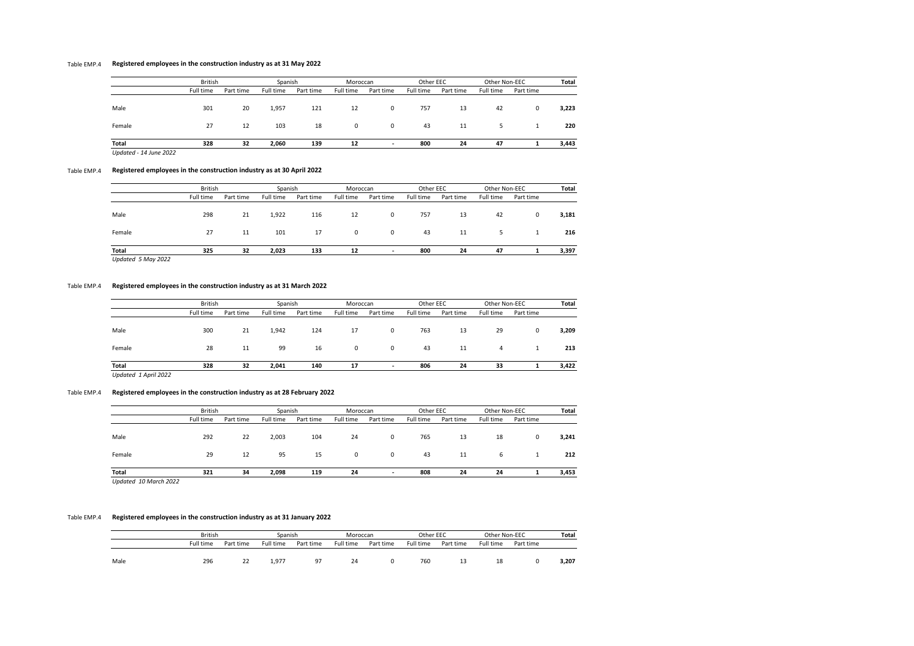# Table EMP.4 **Registered employees in the construction industry as at 31 May 2022**

|                        | <b>British</b> |           | Spanish   |           | Moroccan  |           | Other EEC |           | Other Non-EEC |           | Total |
|------------------------|----------------|-----------|-----------|-----------|-----------|-----------|-----------|-----------|---------------|-----------|-------|
|                        | Full time      | Part time | Full time | Part time | Full time | Part time | Full time | Part time | Full time     | Part time |       |
| Male                   | 301            | 20        | 1,957     | 121       | 12        | 0         | 757       | 13        | 42            | 0         | 3,223 |
| Female                 | 27             | 12        | 103       | 18        | 0         | 0         | 43        | 11        |               |           | 220   |
| Total                  | 328            | 32        | 2,060     | 139       | 12        |           | 800       | 24        | 47            |           | 3,443 |
| Updated - 14 June 2022 |                |           |           |           |           |           |           |           |               |           |       |

## Table EMP.4 **Registered employees in the construction industry as at 30 April 2022**

|                                    | <b>British</b> |           | Spanish   |           | Moroccan  |                          | Other EEC |           | Other Non-EEC |           | Total |  |
|------------------------------------|----------------|-----------|-----------|-----------|-----------|--------------------------|-----------|-----------|---------------|-----------|-------|--|
|                                    | Full time      | Part time | Full time | Part time | Full time | Part time                | Full time | Part time | Full time     | Part time |       |  |
| Male                               | 298            | 21        | 1,922     | 116       | 12        | 0                        | 757       | 13        | 42            | 0         | 3,181 |  |
| Female                             | 27             | 11        | 101       | 17        | 0         | $\mathbf 0$              | 43        | 11        | 5             |           | 216   |  |
| Total<br><b>Undated 5 May 2022</b> | 325            | 32        | 2,023     | 133       | 12        | $\overline{\phantom{a}}$ | 800       | 24        | 47            |           | 3,397 |  |

*Updated 5 May 2022*

## Table EMP.4 **Registered employees in the construction industry as at 31 March 2022**

|        | <b>British</b> |           | Spanish   |           | Moroccan    |           | Other EEC |           | Other Non-EEC |           | Total |
|--------|----------------|-----------|-----------|-----------|-------------|-----------|-----------|-----------|---------------|-----------|-------|
|        | Full time      | Part time | Full time | Part time | Full time   | Part time | Full time | Part time | Full time     | Part time |       |
| Male   | 300            | 21        | 1,942     | 124       | 17          | 0         | 763       | 13        | 29            | 0         | 3,209 |
| Female | 28             | 11        | 99        | 16        | $\mathbf 0$ | 0         | 43        | 11        | 4             |           | 213   |
| Total  | 328            | 32        | 2,041     | 140       | 17          |           | 806       | 24        | 33            |           | 3,422 |

*Updated 1 April 2022*

## Table EMP.4 **Registered employees in the construction industry as at 28 February 2022**

|                       | <b>British</b> |           | Spanish   |           | Moroccan    |           | Other EEC |           | Other Non-EEC |           | <b>Total</b> |
|-----------------------|----------------|-----------|-----------|-----------|-------------|-----------|-----------|-----------|---------------|-----------|--------------|
|                       | Full time      | Part time | Full time | Part time | Full time   | Part time | Full time | Part time | Full time     | Part time |              |
| Male                  | 292            | 22        | 2,003     | 104       | 24          | 0         | 765       | 13        | 18            | 0         | 3,241        |
| Female                | 29             | 12        | 95        | 15        | $\mathbf 0$ | 0         | 43        | 11        | 6             |           | 212          |
| <b>Total</b>          | 321            | 34        | 2,098     | 119       | 24          | ٠         | 808       | 24        | 24            |           | 3,453        |
| Updated 10 March 2022 |                |           |           |           |             |           |           |           |               |           |              |

## Table EMP.4 **Registered employees in the construction industry as at 31 January 2022**

|      |           | <b>British</b> |           | Spanish   |           | Moroccan  |           | Other EEC |           | Other Non-EEC |       |
|------|-----------|----------------|-----------|-----------|-----------|-----------|-----------|-----------|-----------|---------------|-------|
|      | Full time | Part time      | Full time | Part time | Full time | Part time | Full time | Part time | Full time | Part time     |       |
| Male | 296       | 22             | 1.977     | -97       | 24        |           | 760       | 13        | 18        |               | 3,207 |